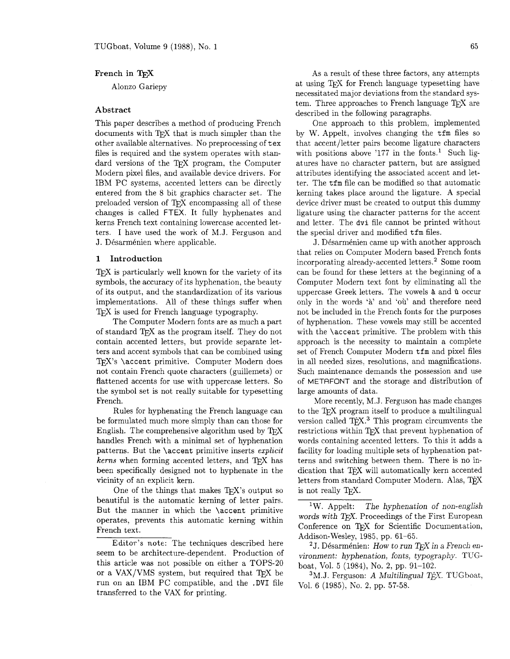# **French** in T<sub>F</sub>X

Alonzo Gariepy

## **Abstract**

This paper describes a method of producing French documents with TFX that is much simpler than the other available alternatives. No preprocessing of tex files is required and the system operates with standard versions of the TFX program, the Computer Modern pixel files, and available device drivers. For IBM PC systems, accented letters can be directly entered from the 8 bit graphics character set. The preloaded version of TFX encompassing all of these changes is called FTEX. It fully hyphenates and kerns French text containing lowercase accented letters. I have used the work of M.J. Ferguson and J. Désarménien where applicable.

#### **1 Introduction**

 $T_{F}X$  is particularly well known for the variety of its symbols, the accuracy of its hyphenation, the beauty of its output, and the standardization of its various implementations. All of these things suffer when T<sub>F</sub>X is used for French language typography.

The Computer Modern fonts are as much a part of standard T<sub>F</sub>X as the program itself. They do not contain accented letters, but provide separate letters and accent symbols that can be combined using TEX's \accent primitive. Computer Modern does not contain French quote characters (guillemets) or flattened accents for use with uppercase letters. So the symbol set is not really suitable for typesetting French.

Rules for hyphenating the French language can be formulated much more simply than can those for English. The comprehensive algorithm used by  $T_F X$ handles French with a minimal set of hyphenation patterns. But the \accent primitive inserts **explicit**   $kerns$  when forming accented letters, and T<sub>F</sub>X has been specifically designed not to hyphenate in the vicinity of an explicit kern.

One of the things that makes TEX's output so beautiful is the automatic kerning of letter pairs. But the manner in which the \accent primitive operates, prevents this automatic kerning within French text.

As a result of these three factors, any attempts at using T<sub>F</sub>X for French language typesetting have necessitated major deviations from the standard system. Three approaches to French language  $T_F X$  are described in the following paragraphs.

One approach to this problem, implemented by W. Appelt, involves changing the tfm files so that accent/letter pairs become ligature characters with positions above  $'177$  in the fonts.<sup>1</sup> Such ligatures have no character pattern, but are assigned attributes identifying the associated accent and letter. The tfm file can be modified so that automatic kerning takes place around the ligature. A special device driver must be created to output this dummy ligature using the character patterns for the accent and letter. The dvi file cannot be printed without the special driver and modified tfm files.

J. Désarménien came up with another approach that relies on Computer Modern based French fonts incorporating already-accented lettem2 Some room can be found for these letters at the beginning of a Computer Modern text font by eliminating all the uppercase Greek letters. The vowels  $a$  and  $b$  occur only in the words 'a' and 'oil' and therefore need not be included in the French fonts for the purposes of hyphenation. These vowels may still be accented with the \accent primitive. The problem with this approach is the necessity to maintain a complete set of French Computer Modern tfm and pixel files in all needed sizes, resolutions, and magnifications. Such maintenance demands the possession and use of METAFONT and the storage and distribution of large amounts of data.

More recently, M.J. Ferguson has made changes to the TFX program itself to produce a multilingual version called TEX.<sup>3</sup> This program circumvents the restrictions within TFX that prevent hyphenation of words containing accented letters. To this it adds a facility for loading multiple sets of hyphenation patterns and switching between them. There is no indication that TFX will automatically kern accented letters from standard Computer Modern. Alas, is not really T<sub>E</sub>X.

<sup>1</sup>W. Appelt: The hyphenation of non-english words with TFX. Proceedings of the First European Conference on TFX for Scientific Documentation, Addison-Wesley, 1985, pp. 61-65.

<sup>2</sup>J. Désarménien: How to run *T<sub>E</sub>X* in a French environment: hyphenation, fonts, typography. TUGboat, Vol. 5 (1984), No. 2, pp. 91-102.

 $3$ M.J. Ferguson: A Multilingual T $\hat{E}X$ . TUGboat, Vol. 6 (1985), No. 2, pp. 57-58.

Editor's note: The techniques described here seem to be architecture-dependent. Production of this article was not possible on either a TOPS-20 or a  $VAX/VMS$  system, but required that TFX be run on an IBM PC compatible, and the **.DVI** file transferred to the VAX for printing.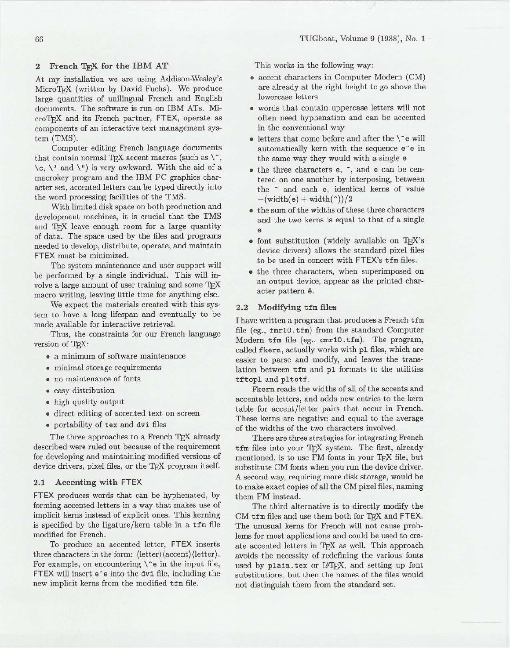# 2 French TFX for the IBM AT

At my installation we are using Addison-Wesley's MicroTgX (written by David Fuchs). We produce large quantities of unilingual French and English documents. The software is run on IBM ATs. MicroTgX and its French partner, FTEX, operate as components of an interactive text management system (TMS).

Computer editing French language documents that contain normal TgX accent macros (such as  $\langle \, \cdot \, \rangle$ ,  $\langle c, \rangle'$  and  $\langle \rangle''$  is very awkward. With the aid of a macrokey program and the IBM PC graphics character set, accented letters can be typed directly into the word processing facilities of the TMS.

With limited disk space on both production and development machines, it is crucial that the TMS and T<sub>FX</sub> leave enough room for a large quantity of data. The space used by the files and programs needed to develop, distribute, operate, and maintain FTEX must be minimized.

The system maintenance and user support will be performed by a single individual. This will involve a large amount of user training and some  $T\not\!\!E X$ macro writing, leaving little time for anything else.

We expect the materials created with this system to have a long lifespan and eventually to be made available for interactive retrieval.

Thus, the constraints for our French language version of TFX:

- . a minimum of software maintenance
- . minimal storage requirements
- . no maintenance of fonts
- . easy distribution
- . high quality output
- . direct editing of accented text on screen
- . portability of tex and dvi files

The three approaches to a French TFX already described were ruled out because of the requirement for developing and maintaining modified versions of device drivers, pixel files, or the TEX program itself.

### 2.1 Accenting with FTEX

FTEX produces words that can be hyphenated, by forming accented letters in a way that makes use of implicit kerns instead of explicit ones. This kerning is specified by the ligature/kern table in a tfm file modified for French.

To produce an accented letter, FTEX inserts three characters in the form:  $\langle$  letter $\rangle$  $\langle$  accent $\rangle$  $\langle$  letter $\rangle$ . For example, on encountering  $\$  e in the input file, FTEX will insert e<sup>-</sup>e into the dvi file, including the new implicit kerns from the modified tfm file.

This works in the following way:

- . accent characters in Computer Modern (OM) are already at the right height to go above the lowercase letters
- . words that contain uppercase letters will not often need hyphenation and can be accented in the conventional way
- $\bullet$  letters that come before and after the  $\$ e will automatically kern with the sequence e<sup>e</sup> in the same way they would with a single e
- . the three characters e, ~, and e can be centered on one another by interposing, between the <sup>~</sup> and each e, identical kerns of value  $-(width(e) + width($ )2)
- $\bullet\;$  the sum of the widths of these three characters and the two kerns is equal to that of a single e
- $\bullet$  font substitution (widely available on TEX's device drivers) allows the standard pixel files to be used in concert with FTEX's tfm files.
- . the three characters, when superimposed on an output device, appear as the printed character pattern  $\ddot{e}$ .

## 2.2 Modifying tfm files

I have written a program that produces a French tfm file (eg., fmrl0. tfm) from the standard Computer Modern tfm file (eg., cmrl0.tfm). The program, called fkern, actually works with pI files, which are easier to parse and modify, and leaves the translation between tfm and pI formats to the utilities tftopl and pltotf.

Fkern reads the widths of all of the accents and accentable letters, and adds new entries to the kern table for accent/letter pairs that occur in French. These kerns are negative and equal to the average of the widths of the two characters involved.

There are three strategies for integrating French tfm files into your TFX system. The first, already mentioned, is to use FM fonts in your TEX file, but substitute CM fonts when you run the device driver. A second way, requiring more disk storage, would be to make exact copies of all the OM pixel files, naming them FM instead.

The third alternative is to directly modify the CM tfm files and use them both for TFX and FTEX. The unusual kerns for French will not cause problems for most applications and could be used to create accented letters in TEX as well. This approach avoids the necessity of redefining the various fonts used by plain. tex or IATFX, and setting up font substitutions, but then the names of the files would not distinguish them from the standard set.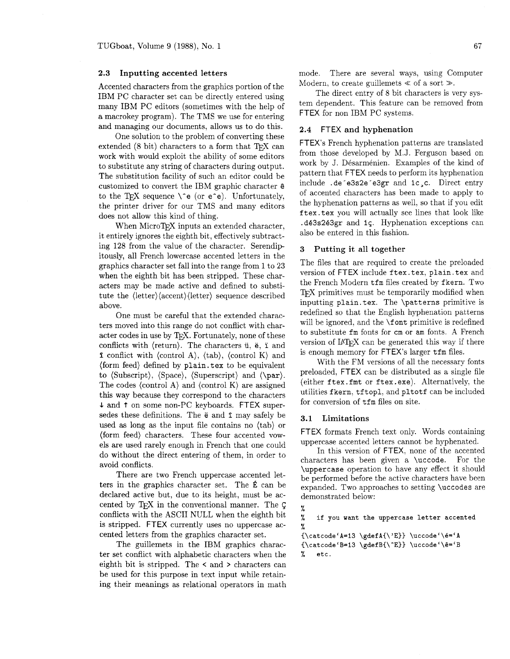## **2.3** Inputting accented letters

Accented characters from the graphics portion of the IBM PC character set can be directly entered using many IBM PC editors (sometimes with the help of a macrokey program). The TMS we use for entering and managing our documents, allows us to do this.

One solution to the problem of converting these extended  $(8 \text{ bit})$  characters to a form that TFX can work with would exploit the ability of some editors to substitute any string of characters during output. The substitution facility of such an editor could be customized to convert the IBM graphic character **<sup>G</sup>** to the TFX sequence  $\setminus$  e (or e<sup>-</sup>e). Unfortunately, the printer driver for our TMS and many editors does not allow this kind of thing.

When MicroT<sub>F</sub>X inputs an extended character, it entirely ignores the eighth bit, effectively subtracting 128 ffom the value of the character. Serendip itously, all French lowercase accented letters in the graphics character set fall into the range from 1 to 23 when the eighth bit has been stripped. These characters may be made active and defined to substitute the **(letter)(accent)(letter)** sequence described above.

One must be careful that the extended characters moved into this range do not conflict with character codes in use by T<sub>F</sub>X. Fortunately, none of these conflicts with  $\langle$ return $\rangle$ . The characters  $\ddot{u}$ ,  $\ddot{e}$ ,  $\ddot{u}$  and **f** conflict with  $\langle \text{control A} \rangle$ ,  $\langle \text{tab} \rangle$ ,  $\langle \text{control K} \rangle$  and (form feed) defined by  $plain.$  tex to be equivalent to (Subscript), (Space), (Superscript) and (\par). The codes  $\langle$  control A $\rangle$  and  $\langle$  control K $\rangle$  are assigned this way because they correspond to the characters L and **t** on some non-PC keyboards. FTEX supersedes these definitions. The  $\ddot{\textbf{e}}$  and  $\ddot{\textbf{1}}$  may safely be used as long as the input file contains no (tab) or (form feed) characters. These four accented vowels are used rarely enough in French that one could do without the direct entering of them, in order to avoid conflicts.

There are two French uppercase accented letters in the graphics character set. The E can be declared active but, due to its height, must be accented by QX in the conventional manner. The <sup>C</sup> conflicts with the ASCII NULL when the eighth bit is stripped. FTEX currently uses no uppercase accented letters from the graphics character set.

The guillemets in the IBM graphics character set conflict with alphabetic characters when the eighth bit is stripped. The  $\leq$  and  $\geq$  characters can be used for this purpose in text input while retaining their meanings as relational operators in math

mode. There are several ways, using Computer Modern, to create guillemets  $\ll$  of a sort  $\gg$ .

The direct entry of 8 bit characters is very system dependent. This feature can be removed from FTEX for non IBM PC systems.

## **2.4** FTEX and hyphenation

FTEX's French hyphenation patterns are translated from those developed by M.J. Ferguson based on work by J. Désarménien. Examples of the kind of pattern that FTEX needs to perform its hyphenation include .de e3s2e e3gr and 1c, c. Direct entry of accented characters has been made to apply to the hyphenation patterns as well, so that if you edit f tex. tex you will actually see lines that look like .d63s263gr and 1s. Hyphenation exceptions can also be entered in this fashion.

### **3** Putting it all together

The files that are required to create the preloaded version of FTEX include ftex. tex, plain. tex and the French Modern tfm files created by fkern. Two T<sub>EX</sub> primitives must be temporarily modified when inputting plain. tex. The \patterns primitive is redefined so that the English hyphenation patterns will be ignored, and the \font primitive is redefined to substitute fm fonts for cm or am fonts. A French version of  $IATFX$  can be generated this way if there is enough memory for FTEX's larger tfm files.

With the FM versions of all the necessary fonts preloaded. FTEX can be distributed as a single file (either ftex. fmt or ftex. exe). Alternatively, the utilities fkern, tftopl. and pltotf can be included for conversion of tfm files on site.

# **3.1** Limitations

FTEX formats French text only. Words containing uppercase accented letters cannot be hyphenated.

In this version of FTEX, none of the accented characters has been given a \uccode. For the \uppercase operation to have any effect it should be performed before the active characters have been expanded. Two approaches to setting \uccodes are demonstrated below:

```
% 
% if you want the uppercase letter accented 
% 
{\catcode{'A=13 \qgdefA{\'E}}} \uccode'{\e='}A{\catcode{'B=13 \qgdefB{\TE}} \uccode'{\e='}B}% etc.
```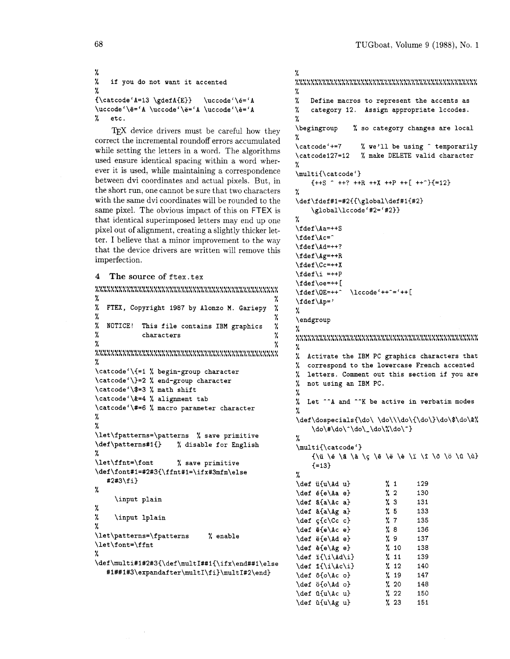```
% 
% if you do not want it accented 
% 
\{\catcode'A=13 \qgetA{E}\}\\uccode'\ê='A \uccode'\ë='A \uccode'\è='A
% etc.
```
TFX device drivers must be careful how they correct the incremental roundoff errors accumulated while setting the letters in a word. The algorithms used ensure identical spacing within a word wherever it is used, while maintaining a correspondence between dvi coordinates and actual pixels. But, in the short run, one cannot be sure that two characters with the same dvi coordinates will be rounded to the same pixel. The obvious impact of this on FTEX is that identical superimposed letters may end up one pixel out of alignment, creating a slightly thicker letter. I believe that a minor improvement to the way that the device drivers are written will remove this imperfection.

```
4 The source of ftex. tex
```

```
*1~10*~~1.....1.111.e,,1,.111.,,.,..,.1,.,..,., LLLLLLLLLLLLLLLLLLXLLLLLLLLLLLLLLLLLLLLLLLLLLLL 
% % 
% FTEX, Copyright 1987 by Alonzo M. Gariepy % 
% % 
% NOTICE! This file contains IBM graphics % 
% characters % 
% % ~~~*.~~*~..~*~~.....~.~.~*~~.~~..~~......~~.... LLLLLLLLLLLLLLLLLLLLLLLLLLLLLLLLLLLLLLLLLLLLLLL 
% 
\catcode'\{=l % begin-group character 
\catcode1\)=2 % end-group character 
\catcode1\$=3 % math shift 
\cat code '\&=4 % alignment tab 
\catcode1\#=6 % macro parameter character 
% 
% 
\let\fpatterns=\patterns % save primitive 
\def \patterns#lf) % disable for English 
% 
\let\f fnt=\f ont % save primitive 
\def \f ont#l=#2#3f\f fnt#l=\ifx#3mfm\else 
   #2#3\f i) 
% 
     \input plain 
% 
% \input lplain 
% 
\let \patterns=\f patterns % enable 
\let\font=\ffnt 
% 
\def \multi#l#2#3{\def\multI##l{\if x\end##l\else 
   #1##1#3\expandafter\multI\fi)\mult1#2\end)
```

```
% 
11~'......1,1,1*,.,*,*1*1,1,,,,~,,,,,,,,,,,,,,, LLLLLLLLLLLLLLLLLLLLLLLLLLLLLLLLLLLLLLLLLLLLLLL 
% 
% Define macros to represent the accents as 
% category 12. Assign appropriate lccodes. 
% 
\begingroup % so category changes are local 
%<br>\catcode'+=7
                      % we'll be using ^ temporarily
\catcode127=12 % make DELETE valid character 
% 
\multi{\catcode') 
     {++S} - ++? ++R ++X ++P ++[ ++-}{=12}
% 
\def\fdef#1=#2{{\global\def#1{#2) 
     \global\lccode1#2='#2)) 
% 
\fdef\Aa=++S 
\fdef\Ac=^
\fdef\Ad=++? 
\fdef\Ag=++R 
\f def \Cc=++X 
\left\{ \i =++P\right\}\f def \oe=++ [ 
\fdef\OE=++^ \lccode'++^='++[
\fdef\Ap=' 
% 
\endgroup 
% 
..*1..*.11,.,,,,,,,,,,,,.,,,,,,,,,,,,,,,,,,,,,. LLLLLLLLLLLLLLLLLLLLLLLLLLLLLLLLLLLLLLLLLLLLLLL 
% 
    Activate the IBM PC graphics characters that
% correspond to the lowercase French accented 
% letters. Comment out this section if you are 
% not using an IBM PC. 
% 
% Let "-A and "-K be active in verbatim modes 
% 
\def\dospecials{\do\ \do\\\do\{\do\}\do\$\do\&%
     \dot\% 
\multi{\catcodel) 
     \{\n \begin{array}{ccc} \n \begin{array}{ccc} \n \begin{array}{ccc} \n \begin{array}{ccc} \n \end{array} & \n \end{array} \begin{array}{ccc} \n \begin{array}{ccc} \n \end{array} & \n \end{array} \begin{array}{ccc} \n \begin{array}{ccc} \n \end{array} & \n \end{array} \begin{array}{ccc} \n \end{array} & \n \end{array} \begin{array}{ccc} \n \begin{array}{ccc} \n \end{array} & \n \end{array} \begin{array}{ccc} \n \end{array} & \n \end{array} \begin{array}{ccc} \n \end{array} & \n \end{array} \begin{array}{ccc} \n\{-13\}% 
\def u{u\Ad u) % 1 129 
\def 6{e\Aa e) % 2 130 
\def a{a \land c a} % 3 131
\def B{a\Ag a) % 5 133 
\def gfc\Cc c) % 7 135 
\def S{e\Ac e) % 8 136 
\def e{e\Ad e) % 9 137 
\def B{e\Ag e) % 10 138 
\def i{\i\Ad\i) % 11 139 
\def i{\iota\lambda\} % 12 140
\def b{o\Ac o) % 19 147 
\def o{o\Ad o) % 20 148 
\det \{u\} \{22 \ 150\def u\(u\Ag u} % 23 151
```